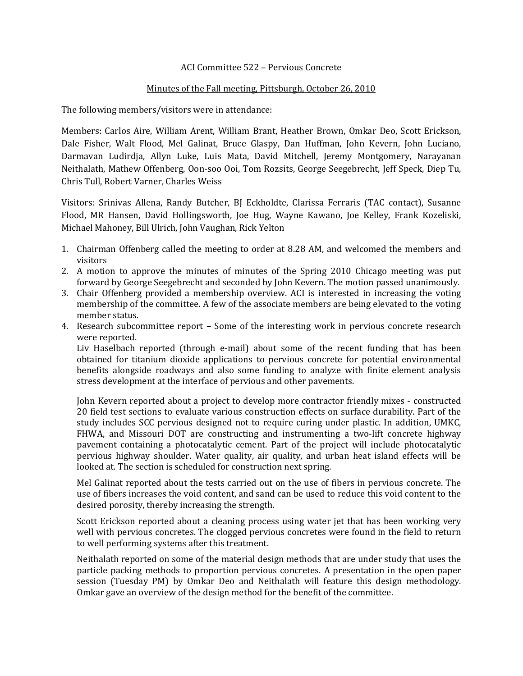## ACI Committee 522 – Pervious Concrete

## Minutes of the Fall meeting, Pittsburgh, October 26, 2010

The following members/visitors were in attendance:

Members: Carlos Aire, William Arent, William Brant, Heather Brown, Omkar Deo, Scott Erickson, Dale Fisher, Walt Flood, Mel Galinat, Bruce Glaspy, Dan Huffman, John Kevern, John Luciano, Darmavan Ludirdja, Allyn Luke, Luis Mata, David Mitchell, Jeremy Montgomery, Narayanan Neithalath, Mathew Offenberg, Oon-soo Ooi, Tom Rozsits, George Seegebrecht, Jeff Speck, Diep Tu, Chris Tull, Robert Varner, Charles Weiss

Visitors: Srinivas Allena, Randy Butcher, BJ Eckholdte, Clarissa Ferraris (TAC contact), Susanne Flood, MR Hansen, David Hollingsworth, Joe Hug, Wayne Kawano, Joe Kelley, Frank Kozeliski, Michael Mahoney, Bill Ulrich, John Vaughan, Rick Yelton

- 1. Chairman Offenberg called the meeting to order at 8.28 AM, and welcomed the members and visitors
- 2. A motion to approve the minutes of minutes of the Spring 2010 Chicago meeting was put forward by George Seegebrecht and seconded by John Kevern. The motion passed unanimously.
- 3. Chair Offenberg provided a membership overview. ACI is interested in increasing the voting membership of the committee. A few of the associate members are being elevated to the voting member status.
- 4. Research subcommittee report Some of the interesting work in pervious concrete research were reported.

Liv Haselbach reported (through e-mail) about some of the recent funding that has been obtained for titanium dioxide applications to pervious concrete for potential environmental benefits alongside roadways and also some funding to analyze with finite element analysis stress development at the interface of pervious and other pavements.

John Kevern reported about a project to develop more contractor friendly mixes - constructed 20 field test sections to evaluate various construction effects on surface durability. Part of the study includes SCC pervious designed not to require curing under plastic. In addition, UMKC, FHWA, and Missouri DOT are constructing and instrumenting a two-lift concrete highway pavement containing a photocatalytic cement. Part of the project will include photocatalytic pervious highway shoulder. Water quality, air quality, and urban heat island effects will be looked at. The section is scheduled for construction next spring.

Mel Galinat reported about the tests carried out on the use of fibers in pervious concrete. The use of fibers increases the void content, and sand can be used to reduce this void content to the desired porosity, thereby increasing the strength.

Scott Erickson reported about a cleaning process using water jet that has been working very well with pervious concretes. The clogged pervious concretes were found in the field to return to well performing systems after this treatment.

Neithalath reported on some of the material design methods that are under study that uses the particle packing methods to proportion pervious concretes. A presentation in the open paper session (Tuesday PM) by Omkar Deo and Neithalath will feature this design methodology. Omkar gave an overview of the design method for the benefit of the committee.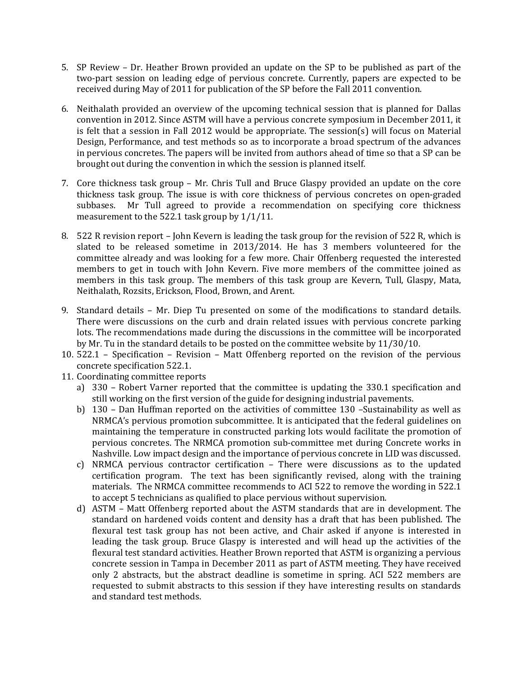- 5. SP Review Dr. Heather Brown provided an update on the SP to be published as part of the two-part session on leading edge of pervious concrete. Currently, papers are expected to be received during May of 2011 for publication of the SP before the Fall 2011 convention.
- 6. Neithalath provided an overview of the upcoming technical session that is planned for Dallas convention in 2012. Since ASTM will have a pervious concrete symposium in December 2011, it is felt that a session in Fall 2012 would be appropriate. The session(s) will focus on Material Design, Performance, and test methods so as to incorporate a broad spectrum of the advances in pervious concretes. The papers will be invited from authors ahead of time so that a SP can be brought out during the convention in which the session is planned itself.
- 7. Core thickness task group Mr. Chris Tull and Bruce Glaspy provided an update on the core thickness task group. The issue is with core thickness of pervious concretes on open-graded subbases. Mr Tull agreed to provide a recommendation on specifying core thickness measurement to the 522.1 task group by 1/1/11.
- 8. 522 R revision report John Kevern is leading the task group for the revision of 522 R, which is slated to be released sometime in 2013/2014. He has 3 members volunteered for the committee already and was looking for a few more. Chair Offenberg requested the interested members to get in touch with John Kevern. Five more members of the committee joined as members in this task group. The members of this task group are Kevern, Tull, Glaspy, Mata, Neithalath, Rozsits, Erickson, Flood, Brown, and Arent.
- 9. Standard details Mr. Diep Tu presented on some of the modifications to standard details. There were discussions on the curb and drain related issues with pervious concrete parking lots. The recommendations made during the discussions in the committee will be incorporated by Mr. Tu in the standard details to be posted on the committee website by 11/30/10.
- 10. 522.1 Specification Revision Matt Offenberg reported on the revision of the pervious concrete specification 522.1.
- 11. Coordinating committee reports
	- a) 330 Robert Varner reported that the committee is updating the 330.1 specification and still working on the first version of the guide for designing industrial pavements.
	- b) 130 Dan Huffman reported on the activities of committee 130 –Sustainability as well as NRMCA's pervious promotion subcommittee. It is anticipated that the federal guidelines on maintaining the temperature in constructed parking lots would facilitate the promotion of pervious concretes. The NRMCA promotion sub-committee met during Concrete works in Nashville. Low impact design and the importance of pervious concrete in LID was discussed.
	- c) NRMCA pervious contractor certification There were discussions as to the updated certification program. The text has been significantly revised, along with the training materials. The NRMCA committee recommends to ACI 522 to remove the wording in 522.1 to accept 5 technicians as qualified to place pervious without supervision.
	- d) ASTM Matt Offenberg reported about the ASTM standards that are in development. The standard on hardened voids content and density has a draft that has been published. The flexural test task group has not been active, and Chair asked if anyone is interested in leading the task group. Bruce Glaspy is interested and will head up the activities of the flexural test standard activities. Heather Brown reported that ASTM is organizing a pervious concrete session in Tampa in December 2011 as part of ASTM meeting. They have received only 2 abstracts, but the abstract deadline is sometime in spring. ACI 522 members are requested to submit abstracts to this session if they have interesting results on standards and standard test methods.